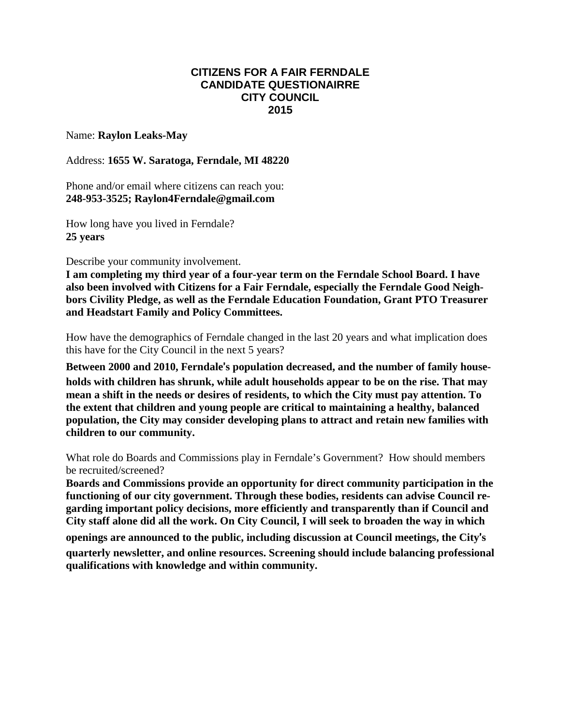## **CITIZENS FOR A FAIR FERNDALE CANDIDATE QUESTIONAIRRE CITY COUNCIL 2015**

## Name: **Raylon Leaks-May**

## Address: **1655 W. Saratoga, Ferndale, MI 48220**

Phone and/or email where citizens can reach you: **248-953-3525; Raylon4Ferndale@gmail.com**

How long have you lived in Ferndale? **25 years**

Describe your community involvement.

**I am completing my third year of a four-year term on the Ferndale School Board. I have also been involved with Citizens for a Fair Ferndale, especially the Ferndale Good Neighbors Civility Pledge, as well as the Ferndale Education Foundation, Grant PTO Treasurer and Headstart Family and Policy Committees.**

How have the demographics of Ferndale changed in the last 20 years and what implication does this have for the City Council in the next 5 years?

**Between 2000 and 2010, Ferndale**'**s population decreased, and the number of family households with children has shrunk, while adult households appear to be on the rise. That may mean a shift in the needs or desires of residents, to which the City must pay attention. To the extent that children and young people are critical to maintaining a healthy, balanced population, the City may consider developing plans to attract and retain new families with children to our community.**

What role do Boards and Commissions play in Ferndale's Government? How should members be recruited/screened?

**Boards and Commissions provide an opportunity for direct community participation in the functioning of our city government. Through these bodies, residents can advise Council regarding important policy decisions, more efficiently and transparently than if Council and City staff alone did all the work. On City Council, I will seek to broaden the way in which**

**openings are announced to the public, including discussion at Council meetings, the City**'**s quarterly newsletter, and online resources. Screening should include balancing professional qualifications with knowledge and within community.**